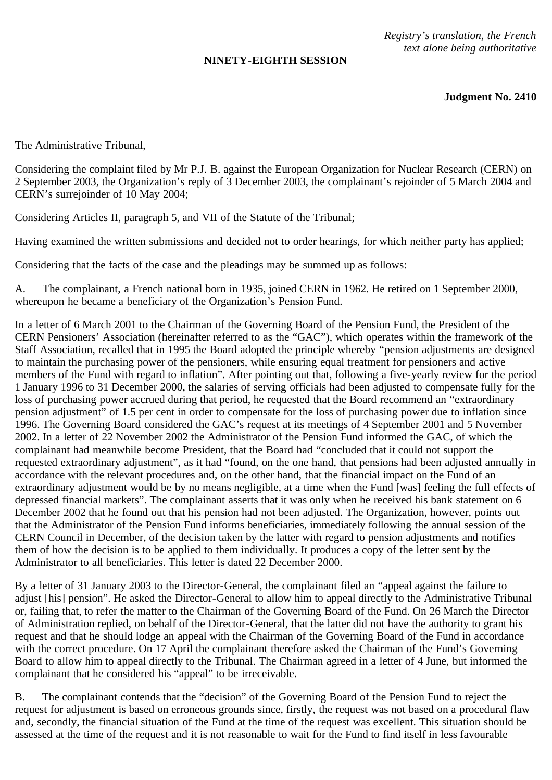## **NINETY-EIGHTH SESSION**

*Registry's translation, the French text alone being authoritative*

**Judgment No. 2410**

The Administrative Tribunal,

Considering the complaint filed by Mr P.J. B. against the European Organization for Nuclear Research (CERN) on 2 September 2003, the Organization's reply of 3 December 2003, the complainant's rejoinder of 5 March 2004 and CERN's surrejoinder of 10 May 2004;

Considering Articles II, paragraph 5, and VII of the Statute of the Tribunal;

Having examined the written submissions and decided not to order hearings, for which neither party has applied;

Considering that the facts of the case and the pleadings may be summed up as follows:

A. The complainant, a French national born in 1935, joined CERN in 1962. He retired on 1 September 2000, whereupon he became a beneficiary of the Organization's Pension Fund.

In a letter of 6 March 2001 to the Chairman of the Governing Board of the Pension Fund, the President of the CERN Pensioners' Association (hereinafter referred to as the "GAC"), which operates within the framework of the Staff Association, recalled that in 1995 the Board adopted the principle whereby "pension adjustments are designed to maintain the purchasing power of the pensioners, while ensuring equal treatment for pensioners and active members of the Fund with regard to inflation". After pointing out that, following a five-yearly review for the period 1 January 1996 to 31 December 2000, the salaries of serving officials had been adjusted to compensate fully for the loss of purchasing power accrued during that period, he requested that the Board recommend an "extraordinary pension adjustment" of 1.5 per cent in order to compensate for the loss of purchasing power due to inflation since 1996. The Governing Board considered the GAC's request at its meetings of 4 September 2001 and 5 November 2002. In a letter of 22 November 2002 the Administrator of the Pension Fund informed the GAC, of which the complainant had meanwhile become President, that the Board had "concluded that it could not support the requested extraordinary adjustment", as it had "found, on the one hand, that pensions had been adjusted annually in accordance with the relevant procedures and, on the other hand, that the financial impact on the Fund of an extraordinary adjustment would be by no means negligible, at a time when the Fund [was] feeling the full effects of depressed financial markets". The complainant asserts that it was only when he received his bank statement on 6 December 2002 that he found out that his pension had not been adjusted. The Organization, however, points out that the Administrator of the Pension Fund informs beneficiaries, immediately following the annual session of the CERN Council in December, of the decision taken by the latter with regard to pension adjustments and notifies them of how the decision is to be applied to them individually. It produces a copy of the letter sent by the Administrator to all beneficiaries. This letter is dated 22 December 2000.

By a letter of 31 January 2003 to the Director-General, the complainant filed an "appeal against the failure to adjust [his] pension". He asked the Director-General to allow him to appeal directly to the Administrative Tribunal or, failing that, to refer the matter to the Chairman of the Governing Board of the Fund. On 26 March the Director of Administration replied, on behalf of the Director-General, that the latter did not have the authority to grant his request and that he should lodge an appeal with the Chairman of the Governing Board of the Fund in accordance with the correct procedure. On 17 April the complainant therefore asked the Chairman of the Fund's Governing Board to allow him to appeal directly to the Tribunal. The Chairman agreed in a letter of 4 June, but informed the complainant that he considered his "appeal" to be irreceivable.

B. The complainant contends that the "decision" of the Governing Board of the Pension Fund to reject the request for adjustment is based on erroneous grounds since, firstly, the request was not based on a procedural flaw and, secondly, the financial situation of the Fund at the time of the request was excellent. This situation should be assessed at the time of the request and it is not reasonable to wait for the Fund to find itself in less favourable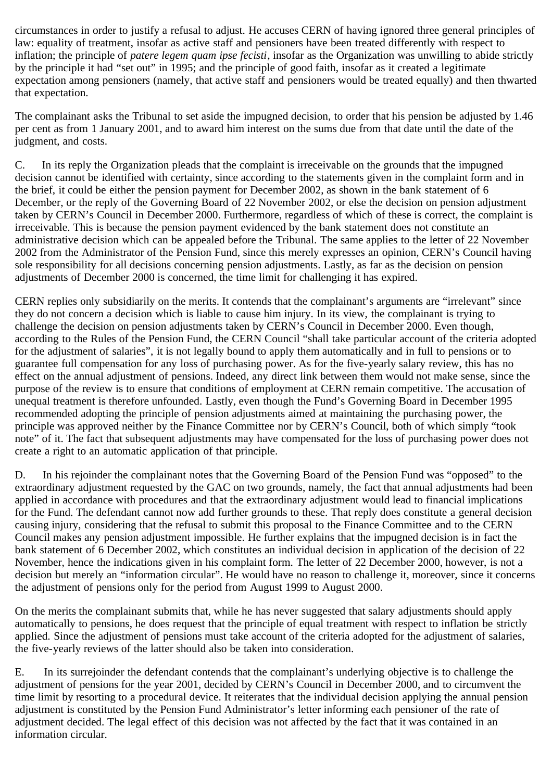circumstances in order to justify a refusal to adjust. He accuses CERN of having ignored three general principles of law: equality of treatment, insofar as active staff and pensioners have been treated differently with respect to inflation; the principle of *patere legem quam ipse fecisti*, insofar as the Organization was unwilling to abide strictly by the principle it had "set out" in 1995; and the principle of good faith, insofar as it created a legitimate expectation among pensioners (namely, that active staff and pensioners would be treated equally) and then thwarted that expectation.

The complainant asks the Tribunal to set aside the impugned decision, to order that his pension be adjusted by 1.46 per cent as from 1 January 2001, and to award him interest on the sums due from that date until the date of the judgment, and costs.

C. In its reply the Organization pleads that the complaint is irreceivable on the grounds that the impugned decision cannot be identified with certainty, since according to the statements given in the complaint form and in the brief, it could be either the pension payment for December 2002, as shown in the bank statement of 6 December, or the reply of the Governing Board of 22 November 2002, or else the decision on pension adjustment taken by CERN's Council in December 2000. Furthermore, regardless of which of these is correct, the complaint is irreceivable. This is because the pension payment evidenced by the bank statement does not constitute an administrative decision which can be appealed before the Tribunal. The same applies to the letter of 22 November 2002 from the Administrator of the Pension Fund, since this merely expresses an opinion, CERN's Council having sole responsibility for all decisions concerning pension adjustments. Lastly, as far as the decision on pension adjustments of December 2000 is concerned, the time limit for challenging it has expired.

CERN replies only subsidiarily on the merits. It contends that the complainant's arguments are "irrelevant" since they do not concern a decision which is liable to cause him injury. In its view, the complainant is trying to challenge the decision on pension adjustments taken by CERN's Council in December 2000. Even though, according to the Rules of the Pension Fund, the CERN Council "shall take particular account of the criteria adopted for the adjustment of salaries", it is not legally bound to apply them automatically and in full to pensions or to guarantee full compensation for any loss of purchasing power. As for the five-yearly salary review, this has no effect on the annual adjustment of pensions. Indeed, any direct link between them would not make sense, since the purpose of the review is to ensure that conditions of employment at CERN remain competitive. The accusation of unequal treatment is therefore unfounded. Lastly, even though the Fund's Governing Board in December 1995 recommended adopting the principle of pension adjustments aimed at maintaining the purchasing power, the principle was approved neither by the Finance Committee nor by CERN's Council, both of which simply "took note" of it. The fact that subsequent adjustments may have compensated for the loss of purchasing power does not create a right to an automatic application of that principle.

D. In his rejoinder the complainant notes that the Governing Board of the Pension Fund was "opposed" to the extraordinary adjustment requested by the GAC on two grounds, namely, the fact that annual adjustments had been applied in accordance with procedures and that the extraordinary adjustment would lead to financial implications for the Fund. The defendant cannot now add further grounds to these. That reply does constitute a general decision causing injury, considering that the refusal to submit this proposal to the Finance Committee and to the CERN Council makes any pension adjustment impossible. He further explains that the impugned decision is in fact the bank statement of 6 December 2002, which constitutes an individual decision in application of the decision of 22 November, hence the indications given in his complaint form. The letter of 22 December 2000, however, is not a decision but merely an "information circular". He would have no reason to challenge it, moreover, since it concerns the adjustment of pensions only for the period from August 1999 to August 2000.

On the merits the complainant submits that, while he has never suggested that salary adjustments should apply automatically to pensions, he does request that the principle of equal treatment with respect to inflation be strictly applied. Since the adjustment of pensions must take account of the criteria adopted for the adjustment of salaries, the five-yearly reviews of the latter should also be taken into consideration.

E. In its surrejoinder the defendant contends that the complainant's underlying objective is to challenge the adjustment of pensions for the year 2001, decided by CERN's Council in December 2000, and to circumvent the time limit by resorting to a procedural device. It reiterates that the individual decision applying the annual pension adjustment is constituted by the Pension Fund Administrator's letter informing each pensioner of the rate of adjustment decided. The legal effect of this decision was not affected by the fact that it was contained in an information circular.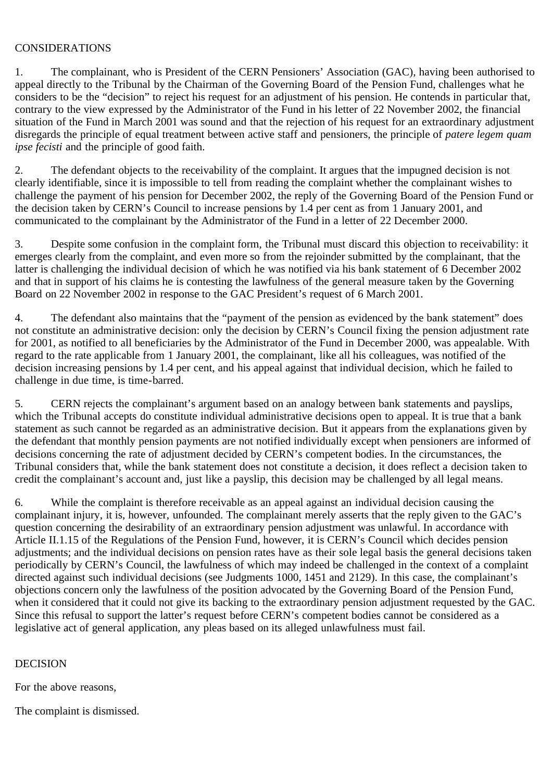## CONSIDERATIONS

1. The complainant, who is President of the CERN Pensioners' Association (GAC), having been authorised to appeal directly to the Tribunal by the Chairman of the Governing Board of the Pension Fund, challenges what he considers to be the "decision" to reject his request for an adjustment of his pension. He contends in particular that, contrary to the view expressed by the Administrator of the Fund in his letter of 22 November 2002, the financial situation of the Fund in March 2001 was sound and that the rejection of his request for an extraordinary adjustment disregards the principle of equal treatment between active staff and pensioners, the principle of *patere legem quam ipse fecisti* and the principle of good faith.

2. The defendant objects to the receivability of the complaint. It argues that the impugned decision is not clearly identifiable, since it is impossible to tell from reading the complaint whether the complainant wishes to challenge the payment of his pension for December 2002, the reply of the Governing Board of the Pension Fund or the decision taken by CERN's Council to increase pensions by 1.4 per cent as from 1 January 2001, and communicated to the complainant by the Administrator of the Fund in a letter of 22 December 2000.

3. Despite some confusion in the complaint form, the Tribunal must discard this objection to receivability: it emerges clearly from the complaint, and even more so from the rejoinder submitted by the complainant, that the latter is challenging the individual decision of which he was notified via his bank statement of 6 December 2002 and that in support of his claims he is contesting the lawfulness of the general measure taken by the Governing Board on 22 November 2002 in response to the GAC President's request of 6 March 2001.

4. The defendant also maintains that the "payment of the pension as evidenced by the bank statement" does not constitute an administrative decision: only the decision by CERN's Council fixing the pension adjustment rate for 2001, as notified to all beneficiaries by the Administrator of the Fund in December 2000, was appealable. With regard to the rate applicable from 1 January 2001, the complainant, like all his colleagues, was notified of the decision increasing pensions by 1.4 per cent, and his appeal against that individual decision, which he failed to challenge in due time, is time-barred.

5. CERN rejects the complainant's argument based on an analogy between bank statements and payslips, which the Tribunal accepts do constitute individual administrative decisions open to appeal. It is true that a bank statement as such cannot be regarded as an administrative decision. But it appears from the explanations given by the defendant that monthly pension payments are not notified individually except when pensioners are informed of decisions concerning the rate of adjustment decided by CERN's competent bodies. In the circumstances, the Tribunal considers that, while the bank statement does not constitute a decision, it does reflect a decision taken to credit the complainant's account and, just like a payslip, this decision may be challenged by all legal means.

6. While the complaint is therefore receivable as an appeal against an individual decision causing the complainant injury, it is, however, unfounded. The complainant merely asserts that the reply given to the GAC's question concerning the desirability of an extraordinary pension adjustment was unlawful. In accordance with Article II.1.15 of the Regulations of the Pension Fund, however, it is CERN's Council which decides pension adjustments; and the individual decisions on pension rates have as their sole legal basis the general decisions taken periodically by CERN's Council, the lawfulness of which may indeed be challenged in the context of a complaint directed against such individual decisions (see Judgments 1000, 1451 and 2129). In this case, the complainant's objections concern only the lawfulness of the position advocated by the Governing Board of the Pension Fund, when it considered that it could not give its backing to the extraordinary pension adjustment requested by the GAC. Since this refusal to support the latter's request before CERN's competent bodies cannot be considered as a legislative act of general application, any pleas based on its alleged unlawfulness must fail.

## DECISION

For the above reasons,

The complaint is dismissed.